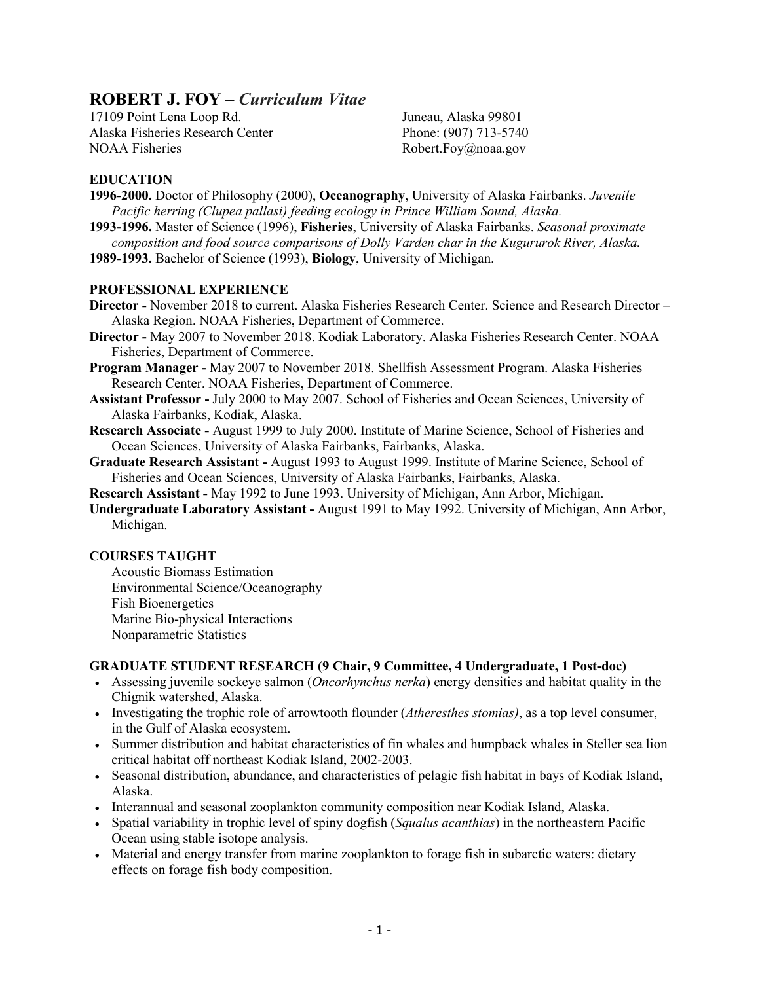# **ROBERT J. FOY –** *Curriculum Vitae*

17109 Point Lena Loop Rd. Alaska Fisheries Research Center NOAA Fisheries

Juneau, Alaska 99801 Phone: (907) 713-5740 Robert.Foy@noaa.gov

## **EDUCATION**

- **1996-2000.** Doctor of Philosophy (2000), **Oceanography**, University of Alaska Fairbanks. *Juvenile Pacific herring (Clupea pallasi) feeding ecology in Prince William Sound, Alaska.*
- **1993-1996.** Master of Science (1996), **Fisheries**, University of Alaska Fairbanks. *Seasonal proximate composition and food source comparisons of Dolly Varden char in the Kugururok River, Alaska.*
- **1989-1993.** Bachelor of Science (1993), **Biology**, University of Michigan.

### **PROFESSIONAL EXPERIENCE**

- **Director -** November 2018 to current. Alaska Fisheries Research Center. Science and Research Director Alaska Region. NOAA Fisheries, Department of Commerce.
- **Director -** May 2007 to November 2018. Kodiak Laboratory. Alaska Fisheries Research Center. NOAA Fisheries, Department of Commerce.
- **Program Manager -** May 2007 to November 2018. Shellfish Assessment Program. Alaska Fisheries Research Center. NOAA Fisheries, Department of Commerce.
- **Assistant Professor -** July 2000 to May 2007. School of Fisheries and Ocean Sciences, University of Alaska Fairbanks, Kodiak, Alaska.
- **Research Associate -** August 1999 to July 2000. Institute of Marine Science, School of Fisheries and Ocean Sciences, University of Alaska Fairbanks, Fairbanks, Alaska.
- **Graduate Research Assistant -** August 1993 to August 1999. Institute of Marine Science, School of Fisheries and Ocean Sciences, University of Alaska Fairbanks, Fairbanks, Alaska.
- **Research Assistant -** May 1992 to June 1993. University of Michigan, Ann Arbor, Michigan.
- **Undergraduate Laboratory Assistant -** August 1991 to May 1992. University of Michigan, Ann Arbor, Michigan.

### **COURSES TAUGHT**

Acoustic Biomass Estimation Environmental Science/Oceanography Fish Bioenergetics Marine Bio-physical Interactions Nonparametric Statistics

### **GRADUATE STUDENT RESEARCH (9 Chair, 9 Committee, 4 Undergraduate, 1 Post-doc)**

- Assessing juvenile sockeye salmon (*Oncorhynchus nerka*) energy densities and habitat quality in the Chignik watershed, Alaska.
- Investigating the trophic role of arrowtooth flounder (*Atheresthes stomias)*, as a top level consumer, in the Gulf of Alaska ecosystem.
- Summer distribution and habitat characteristics of fin whales and humpback whales in Steller sea lion critical habitat off northeast Kodiak Island, 2002-2003.
- Seasonal distribution, abundance, and characteristics of pelagic fish habitat in bays of Kodiak Island, Alaska.
- Interannual and seasonal zooplankton community composition near Kodiak Island, Alaska.
- Spatial variability in trophic level of spiny dogfish (*Squalus acanthias*) in the northeastern Pacific Ocean using stable isotope analysis.
- Material and energy transfer from marine zooplankton to forage fish in subarctic waters: dietary effects on forage fish body composition.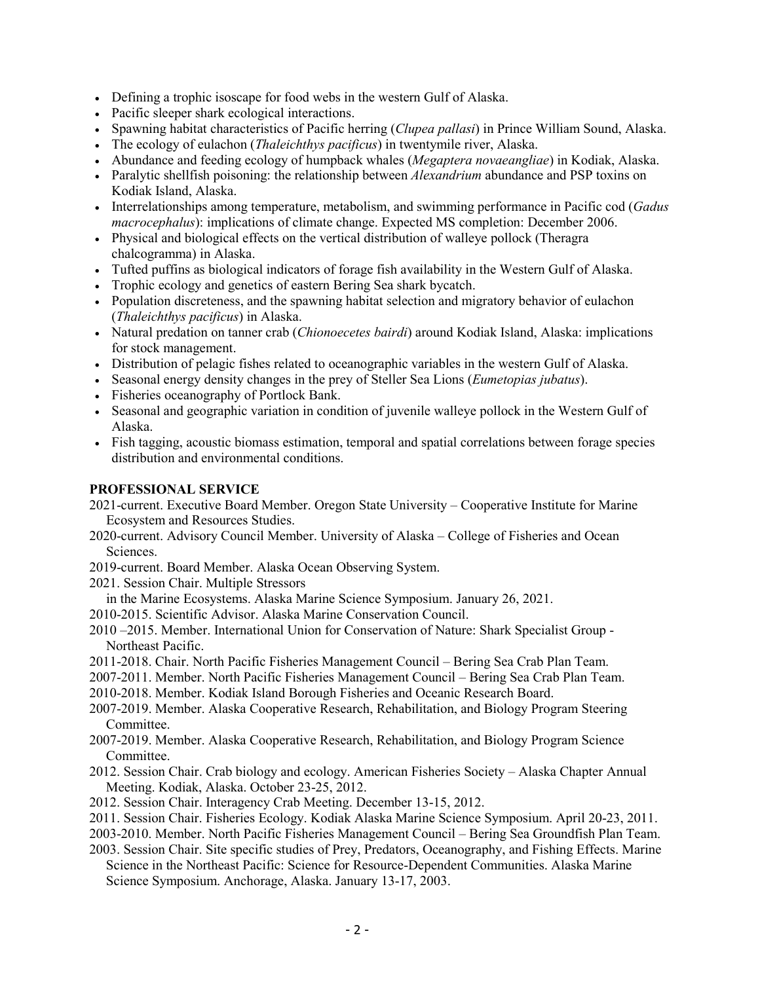- Defining a trophic isoscape for food webs in the western Gulf of Alaska.
- Pacific sleeper shark ecological interactions.
- Spawning habitat characteristics of Pacific herring (*Clupea pallasi*) in Prince William Sound, Alaska.
- The ecology of eulachon (*Thaleichthys pacificus*) in twentymile river, Alaska.
- Abundance and feeding ecology of humpback whales (*Megaptera novaeangliae*) in Kodiak, Alaska.
- Paralytic shellfish poisoning: the relationship between *Alexandrium* abundance and PSP toxins on Kodiak Island, Alaska.
- Interrelationships among temperature, metabolism, and swimming performance in Pacific cod (*Gadus macrocephalus*): implications of climate change. Expected MS completion: December 2006.
- Physical and biological effects on the vertical distribution of walleye pollock (Theragra chalcogramma) in Alaska.
- Tufted puffins as biological indicators of forage fish availability in the Western Gulf of Alaska.
- Trophic ecology and genetics of eastern Bering Sea shark bycatch.
- Population discreteness, and the spawning habitat selection and migratory behavior of eulachon (*Thaleichthys pacificus*) in Alaska.
- Natural predation on tanner crab (*Chionoecetes bairdi*) around Kodiak Island, Alaska: implications for stock management.
- Distribution of pelagic fishes related to oceanographic variables in the western Gulf of Alaska.
- Seasonal energy density changes in the prey of Steller Sea Lions (*Eumetopias jubatus*).
- Fisheries oceanography of Portlock Bank.
- Seasonal and geographic variation in condition of juvenile walleye pollock in the Western Gulf of Alaska.
- Fish tagging, acoustic biomass estimation, temporal and spatial correlations between forage species distribution and environmental conditions.

#### **PROFESSIONAL SERVICE**

- 2021-current. Executive Board Member. Oregon State University Cooperative Institute for Marine Ecosystem and Resources Studies.
- 2020-current. Advisory Council Member. University of Alaska College of Fisheries and Ocean Sciences.
- 2019-current. Board Member. Alaska Ocean Observing System.
- 2021. Session Chair. Multiple Stressors
- in the Marine Ecosystems. Alaska Marine Science Symposium. January 26, 2021.
- 2010-2015. Scientific Advisor. Alaska Marine Conservation Council.
- 2010 –2015. Member. International Union for Conservation of Nature: Shark Specialist Group Northeast Pacific.
- 2011-2018. Chair. North Pacific Fisheries Management Council Bering Sea Crab Plan Team.
- 2007-2011. Member. North Pacific Fisheries Management Council Bering Sea Crab Plan Team.
- 2010-2018. Member. Kodiak Island Borough Fisheries and Oceanic Research Board.
- 2007-2019. Member. Alaska Cooperative Research, Rehabilitation, and Biology Program Steering Committee.
- 2007-2019. Member. Alaska Cooperative Research, Rehabilitation, and Biology Program Science Committee.
- 2012. Session Chair. Crab biology and ecology. American Fisheries Society Alaska Chapter Annual Meeting. Kodiak, Alaska. October 23-25, 2012.
- 2012. Session Chair. Interagency Crab Meeting. December 13-15, 2012.
- 2011. Session Chair. Fisheries Ecology. Kodiak Alaska Marine Science Symposium. April 20-23, 2011.
- 2003-2010. Member. North Pacific Fisheries Management Council Bering Sea Groundfish Plan Team.
- 2003. Session Chair. Site specific studies of Prey, Predators, Oceanography, and Fishing Effects. Marine Science in the Northeast Pacific: Science for Resource-Dependent Communities. Alaska Marine Science Symposium. Anchorage, Alaska. January 13-17, 2003.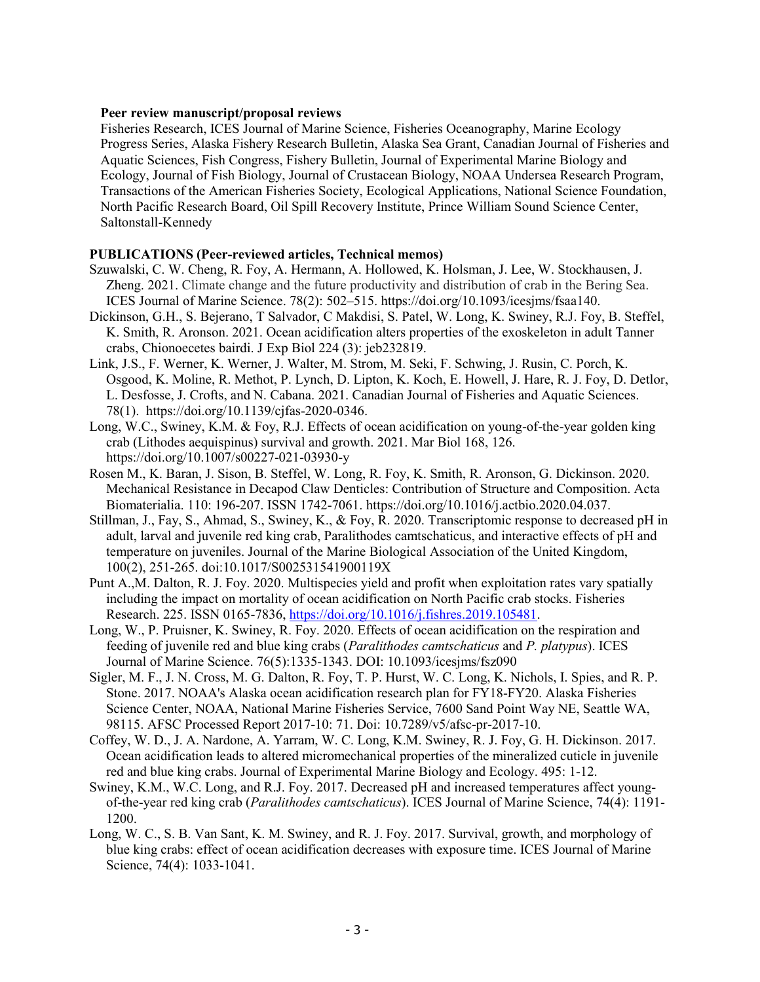### **Peer review manuscript/proposal reviews**

Fisheries Research, ICES Journal of Marine Science, Fisheries Oceanography, Marine Ecology Progress Series, Alaska Fishery Research Bulletin, Alaska Sea Grant, Canadian Journal of Fisheries and Aquatic Sciences, Fish Congress, Fishery Bulletin, Journal of Experimental Marine Biology and Ecology, Journal of Fish Biology, Journal of Crustacean Biology, NOAA Undersea Research Program, Transactions of the American Fisheries Society, Ecological Applications, National Science Foundation, North Pacific Research Board, Oil Spill Recovery Institute, Prince William Sound Science Center, Saltonstall-Kennedy

### **PUBLICATIONS (Peer-reviewed articles, Technical memos)**

- Szuwalski, C. W. Cheng, R. Foy, A. Hermann, A. Hollowed, K. Holsman, J. Lee, W. Stockhausen, J. Zheng. 2021. Climate change and the future productivity and distribution of crab in the Bering Sea. ICES Journal of Marine Science. 78(2): 502–515. https://doi.org/10.1093/icesjms/fsaa140.
- Dickinson, G.H., S. Bejerano, T Salvador, C Makdisi, S. Patel, W. Long, K. Swiney, R.J. Foy, B. Steffel, K. Smith, R. Aronson. 2021. Ocean acidification alters properties of the exoskeleton in adult Tanner crabs, Chionoecetes bairdi. J Exp Biol 224 (3): jeb232819.
- Link, J.S., F. Werner, K. Werner, J. Walter, M. Strom, M. Seki, F. Schwing, J. Rusin, C. Porch, K. Osgood, K. Moline, R. Methot, P. Lynch, D. Lipton, K. Koch, E. Howell, J. Hare, R. J. Foy, D. Detlor, L. Desfosse, J. Crofts, and N. Cabana. 2021. Canadian Journal of Fisheries and Aquatic Sciences. 78(1). [https://doi.org/10.1139/cjfas-2020-0346.](https://doi.org/10.1139/cjfas-2020-0346)
- Long, W.C., Swiney, K.M. & Foy, R.J. Effects of ocean acidification on young-of-the-year golden king crab (Lithodes aequispinus) survival and growth. 2021. Mar Biol 168, 126. https://doi.org/10.1007/s00227-021-03930-y
- Rosen M., K. Baran, J. Sison, B. Steffel, W. Long, R. Foy, K. Smith, R. Aronson, G. Dickinson. 2020. Mechanical Resistance in Decapod Claw Denticles: Contribution of Structure and Composition. Acta Biomaterialia. 110: 196-207. ISSN 1742-7061. https://doi.org/10.1016/j.actbio.2020.04.037.
- Stillman, J., Fay, S., Ahmad, S., Swiney, K., & Foy, R. 2020. Transcriptomic response to decreased pH in adult, larval and juvenile red king crab, Paralithodes camtschaticus, and interactive effects of pH and temperature on juveniles. Journal of the Marine Biological Association of the United Kingdom, 100(2), 251-265. doi:10.1017/S002531541900119X
- Punt A.,M. Dalton, R. J. Foy. 2020. Multispecies yield and profit when exploitation rates vary spatially including the impact on mortality of ocean acidification on North Pacific crab stocks. Fisheries Research. 225. ISSN 0165-7836, [https://doi.org/10.1016/j.fishres.2019.105481.](https://doi.org/10.1016/j.fishres.2019.105481)
- Long, W., P. Pruisner, K. Swiney, R. Foy. 2020. Effects of ocean acidification on the respiration and feeding of juvenile red and blue king crabs (*Paralithodes camtschaticus* and *P. platypus*). ICES Journal of Marine Science. 76(5):1335-1343. DOI: 10.1093/icesjms/fsz090
- Sigler, M. F., J. N. Cross, M. G. Dalton, R. Foy, T. P. Hurst, W. C. Long, K. Nichols, I. Spies, and R. P. Stone. 2017. NOAA's Alaska ocean acidification research plan for FY18-FY20. Alaska Fisheries Science Center, NOAA, National Marine Fisheries Service, 7600 Sand Point Way NE, Seattle WA, 98115. AFSC Processed Report 2017-10: 71. Doi: 10.7289/v5/afsc-pr-2017-10.
- Coffey, W. D., J. A. Nardone, A. Yarram, W. C. Long, K.M. Swiney, R. J. Foy, G. H. Dickinson. 2017. Ocean acidification leads to altered micromechanical properties of the mineralized cuticle in juvenile red and blue king crabs. Journal of Experimental Marine Biology and Ecology. 495: 1-12.
- Swiney, K.M., W.C. Long, and R.J. Foy. 2017. Decreased pH and increased temperatures affect youngof-the-year red king crab (*Paralithodes camtschaticus*). ICES Journal of Marine Science, 74(4): 1191- 1200.
- Long, W. C., S. B. Van Sant, K. M. Swiney, and R. J. Foy. 2017. Survival, growth, and morphology of blue king crabs: effect of ocean acidification decreases with exposure time. ICES Journal of Marine Science, 74(4): 1033-1041.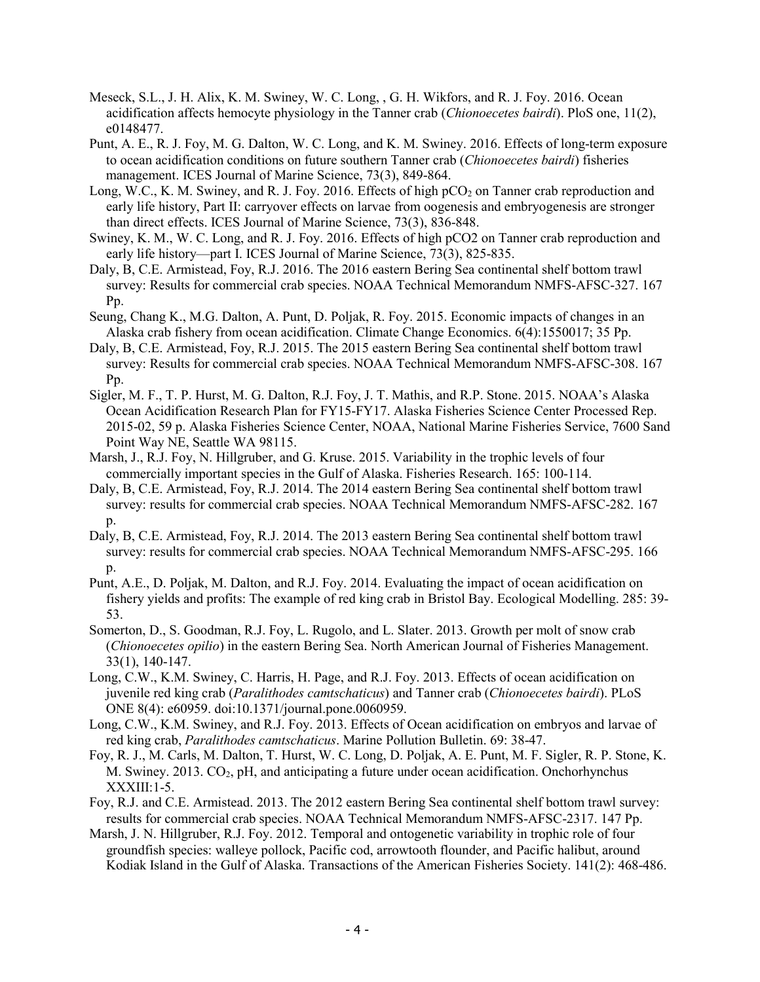- Meseck, S.L., J. H. Alix, K. M. Swiney, W. C. Long, , G. H. Wikfors, and R. J. Foy. 2016. Ocean acidification affects hemocyte physiology in the Tanner crab (*Chionoecetes bairdi*). PloS one, 11(2), e0148477.
- Punt, A. E., R. J. Foy, M. G. Dalton, W. C. Long, and K. M. Swiney. 2016. Effects of long-term exposure to ocean acidification conditions on future southern Tanner crab (*Chionoecetes bairdi*) fisheries management. ICES Journal of Marine Science, 73(3), 849-864.
- Long, W.C., K. M. Swiney, and R. J. Foy. 2016. Effects of high  $pCO<sub>2</sub>$  on Tanner crab reproduction and early life history, Part II: carryover effects on larvae from oogenesis and embryogenesis are stronger than direct effects. ICES Journal of Marine Science, 73(3), 836-848.
- Swiney, K. M., W. C. Long, and R. J. Foy. 2016. Effects of high pCO2 on Tanner crab reproduction and early life history—part I. ICES Journal of Marine Science, 73(3), 825-835.
- Daly, B, C.E. Armistead, Foy, R.J. 2016. The 2016 eastern Bering Sea continental shelf bottom trawl survey: Results for commercial crab species. NOAA Technical Memorandum NMFS-AFSC-327. 167 Pp.
- Seung, Chang K., M.G. Dalton, A. Punt, D. Poljak, R. Foy. 2015. Economic impacts of changes in an Alaska crab fishery from ocean acidification. Climate Change Economics. 6(4):1550017; 35 Pp.
- Daly, B, C.E. Armistead, Foy, R.J. 2015. The 2015 eastern Bering Sea continental shelf bottom trawl survey: Results for commercial crab species. NOAA Technical Memorandum NMFS-AFSC-308. 167 Pp.
- Sigler, M. F., T. P. Hurst, M. G. Dalton, R.J. Foy, J. T. Mathis, and R.P. Stone. 2015. NOAA's Alaska Ocean Acidification Research Plan for FY15-FY17. Alaska Fisheries Science Center Processed Rep. 2015-02, 59 p. Alaska Fisheries Science Center, NOAA, National Marine Fisheries Service, 7600 Sand Point Way NE, Seattle WA 98115.
- Marsh, J., R.J. Foy, N. Hillgruber, and G. Kruse. 2015. Variability in the trophic levels of four commercially important species in the Gulf of Alaska. Fisheries Research. 165: 100-114.
- Daly, B, C.E. Armistead, Foy, R.J. 2014. The 2014 eastern Bering Sea continental shelf bottom trawl survey: results for commercial crab species. NOAA Technical Memorandum NMFS-AFSC-282. 167 p.
- Daly, B, C.E. Armistead, Foy, R.J. 2014. The 2013 eastern Bering Sea continental shelf bottom trawl survey: results for commercial crab species. NOAA Technical Memorandum NMFS-AFSC-295. 166 p.
- Punt, A.E., D. Poljak, M. Dalton, and R.J. Foy. 2014. Evaluating the impact of ocean acidification on fishery yields and profits: The example of red king crab in Bristol Bay. Ecological Modelling. 285: 39- 53.
- Somerton, D., S. Goodman, R.J. Foy, L. Rugolo, and L. Slater. 2013. Growth per molt of snow crab (*Chionoecetes opilio*) in the eastern Bering Sea. North American Journal of Fisheries Management. 33(1), 140-147.
- Long, C.W., K.M. Swiney, C. Harris, H. Page, and R.J. Foy. 2013. Effects of ocean acidification on juvenile red king crab (*Paralithodes camtschaticus*) and Tanner crab (*Chionoecetes bairdi*). PLoS ONE 8(4): e60959. doi:10.1371/journal.pone.0060959.
- Long, C.W., K.M. Swiney, and R.J. Foy. 2013. Effects of Ocean acidification on embryos and larvae of red king crab, *Paralithodes camtschaticus*. Marine Pollution Bulletin. 69: 38-47.
- Foy, R. J., M. Carls, M. Dalton, T. Hurst, W. C. Long, D. Poljak, A. E. Punt, M. F. Sigler, R. P. Stone, K. M. Swiney. 2013. CO<sub>2</sub>, pH, and anticipating a future under ocean acidification. Onchorhynchus XXXIII:1-5.
- Foy, R.J. and C.E. Armistead. 2013. The 2012 eastern Bering Sea continental shelf bottom trawl survey: results for commercial crab species. NOAA Technical Memorandum NMFS-AFSC-2317. 147 Pp.
- Marsh, J. N. Hillgruber, R.J. Foy. 2012. Temporal and ontogenetic variability in trophic role of four groundfish species: walleye pollock, Pacific cod, arrowtooth flounder, and Pacific halibut, around Kodiak Island in the Gulf of Alaska. Transactions of the American Fisheries Society. 141(2): 468-486.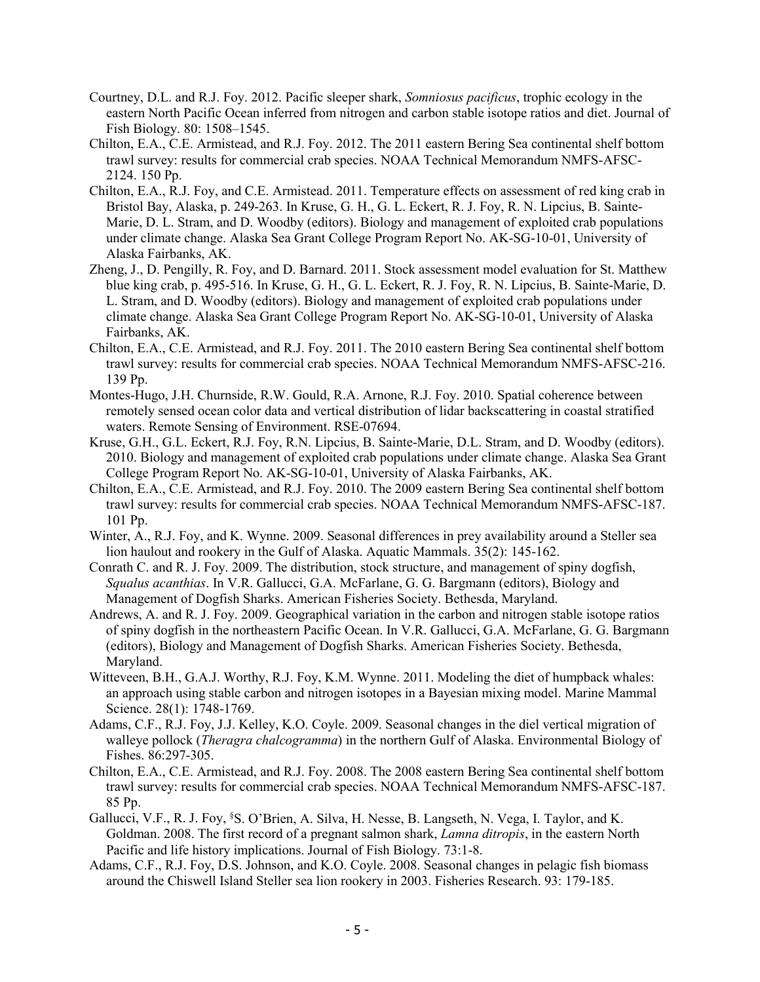- Courtney, D.L. and R.J. Foy. 2012. Pacific sleeper shark, *Somniosus pacificus*, trophic ecology in the eastern North Pacific Ocean inferred from nitrogen and carbon stable isotope ratios and diet. Journal of Fish Biology. 80: 1508–1545.
- Chilton, E.A., C.E. Armistead, and R.J. Foy. 2012. The 2011 eastern Bering Sea continental shelf bottom trawl survey: results for commercial crab species. NOAA Technical Memorandum NMFS-AFSC-2124. 150 Pp.
- Chilton, E.A., R.J. Foy, and C.E. Armistead. 2011. Temperature effects on assessment of red king crab in Bristol Bay, Alaska, p. 249-263. In Kruse, G. H., G. L. Eckert, R. J. Foy, R. N. Lipcius, B. Sainte-Marie, D. L. Stram, and D. Woodby (editors). Biology and management of exploited crab populations under climate change. Alaska Sea Grant College Program Report No. AK-SG-10-01, University of Alaska Fairbanks, AK.
- Zheng, J., D. Pengilly, R. Foy, and D. Barnard. 2011. Stock assessment model evaluation for St. Matthew blue king crab, p. 495-516. In Kruse, G. H., G. L. Eckert, R. J. Foy, R. N. Lipcius, B. Sainte-Marie, D. L. Stram, and D. Woodby (editors). Biology and management of exploited crab populations under climate change. Alaska Sea Grant College Program Report No. AK-SG-10-01, University of Alaska Fairbanks, AK.
- Chilton, E.A., C.E. Armistead, and R.J. Foy. 2011. The 2010 eastern Bering Sea continental shelf bottom trawl survey: results for commercial crab species. NOAA Technical Memorandum NMFS-AFSC-216. 139 Pp.
- Montes-Hugo, J.H. Churnside, R.W. Gould, R.A. Arnone, R.J. Foy. 2010. Spatial coherence between remotely sensed ocean color data and vertical distribution of lidar backscattering in coastal stratified waters. Remote Sensing of Environment. RSE-07694.
- Kruse, G.H., G.L. Eckert, R.J. Foy, R.N. Lipcius, B. Sainte-Marie, D.L. Stram, and D. Woodby (editors). 2010. Biology and management of exploited crab populations under climate change. Alaska Sea Grant College Program Report No. AK-SG-10-01, University of Alaska Fairbanks, AK.
- Chilton, E.A., C.E. Armistead, and R.J. Foy. 2010. The 2009 eastern Bering Sea continental shelf bottom trawl survey: results for commercial crab species. NOAA Technical Memorandum NMFS-AFSC-187. 101 Pp.
- Winter, A., R.J. Foy, and K. Wynne. 2009. Seasonal differences in prey availability around a Steller sea lion haulout and rookery in the Gulf of Alaska. Aquatic Mammals. 35(2): 145-162.
- Conrath C. and R. J. Foy. 2009. The distribution, stock structure, and management of spiny dogfish, *Squalus acanthias*. In V.R. Gallucci, G.A. McFarlane, G. G. Bargmann (editors), Biology and Management of Dogfish Sharks. American Fisheries Society. Bethesda, Maryland.
- Andrews, A. and R. J. Foy. 2009. Geographical variation in the carbon and nitrogen stable isotope ratios of spiny dogfish in the northeastern Pacific Ocean. In V.R. Gallucci, G.A. McFarlane, G. G. Bargmann (editors), Biology and Management of Dogfish Sharks. American Fisheries Society. Bethesda, Maryland.
- Witteveen, B.H., G.A.J. Worthy, R.J. Foy, K.M. Wynne. 2011. Modeling the diet of humpback whales: an approach using stable carbon and nitrogen isotopes in a Bayesian mixing model. Marine Mammal Science. 28(1): 1748-1769.
- Adams, C.F., R.J. Foy, J.J. Kelley, K.O. Coyle. 2009. Seasonal changes in the diel vertical migration of walleye pollock (*Theragra chalcogramma*) in the northern Gulf of Alaska. Environmental Biology of Fishes. 86:297-305.
- Chilton, E.A., C.E. Armistead, and R.J. Foy. 2008. The 2008 eastern Bering Sea continental shelf bottom trawl survey: results for commercial crab species. NOAA Technical Memorandum NMFS-AFSC-187. 85 Pp.
- Gallucci, V.F., R. J. Foy, <sup>§</sup>S. O'Brien, A. Silva, H. Nesse, B. Langseth, N. Vega, I. Taylor, and K. Goldman. 2008. The first record of a pregnant salmon shark, *Lamna ditropis*, in the eastern North Pacific and life history implications. Journal of Fish Biology. 73:1-8.
- Adams, C.F., R.J. Foy, D.S. Johnson, and K.O. Coyle. 2008. Seasonal changes in pelagic fish biomass around the Chiswell Island Steller sea lion rookery in 2003. Fisheries Research. 93: 179-185.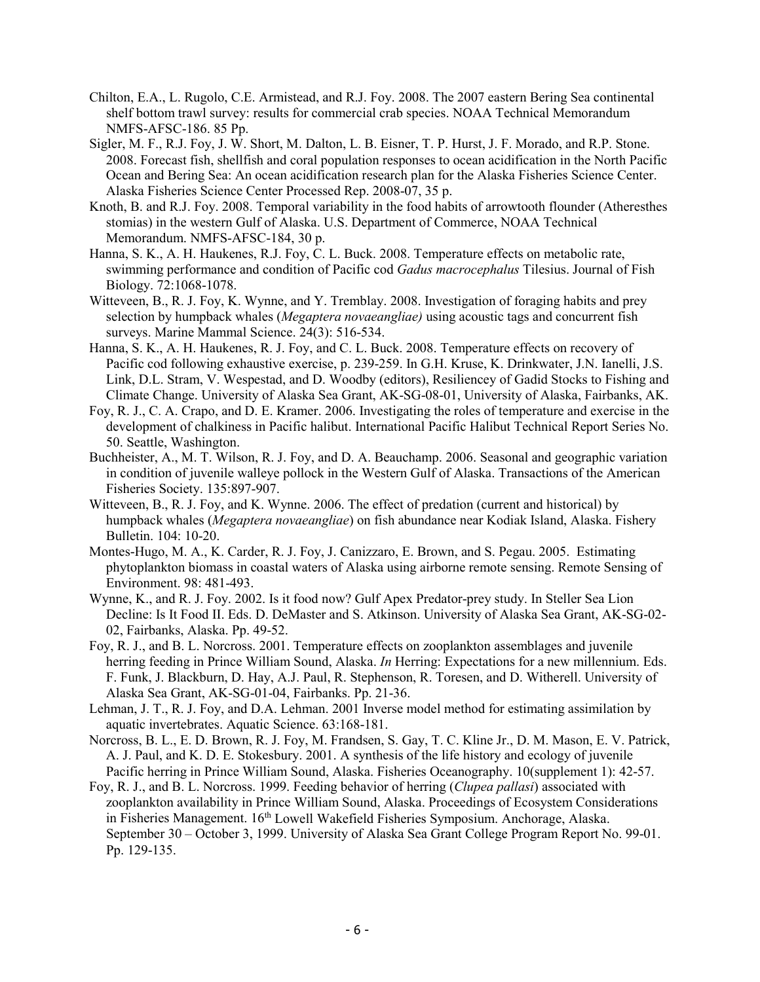- Chilton, E.A., L. Rugolo, C.E. Armistead, and R.J. Foy. 2008. The 2007 eastern Bering Sea continental shelf bottom trawl survey: results for commercial crab species. NOAA Technical Memorandum NMFS-AFSC-186. 85 Pp.
- Sigler, M. F., R.J. Foy, J. W. Short, M. Dalton, L. B. Eisner, T. P. Hurst, J. F. Morado, and R.P. Stone. 2008. Forecast fish, shellfish and coral population responses to ocean acidification in the North Pacific Ocean and Bering Sea: An ocean acidification research plan for the Alaska Fisheries Science Center. Alaska Fisheries Science Center Processed Rep. 2008-07, 35 p.
- Knoth, B. and R.J. Foy. 2008. Temporal variability in the food habits of arrowtooth flounder (Atheresthes stomias) in the western Gulf of Alaska. U.S. Department of Commerce, NOAA Technical Memorandum. NMFS-AFSC-184, 30 p.
- Hanna, S. K., A. H. Haukenes, R.J. Foy, C. L. Buck. 2008. Temperature effects on metabolic rate, swimming performance and condition of Pacific cod *Gadus macrocephalus* Tilesius. Journal of Fish Biology. 72:1068-1078.
- Witteveen, B., R. J. Foy, K. Wynne, and Y. Tremblay. 2008. Investigation of foraging habits and prey selection by humpback whales (*Megaptera novaeangliae)* using acoustic tags and concurrent fish surveys. Marine Mammal Science. 24(3): 516-534.
- Hanna, S. K., A. H. Haukenes, R. J. Foy, and C. L. Buck. 2008. Temperature effects on recovery of Pacific cod following exhaustive exercise, p. 239-259. In G.H. Kruse, K. Drinkwater, J.N. Ianelli, J.S. Link, D.L. Stram, V. Wespestad, and D. Woodby (editors), Resiliencey of Gadid Stocks to Fishing and Climate Change. University of Alaska Sea Grant, AK-SG-08-01, University of Alaska, Fairbanks, AK.
- Foy, R. J., C. A. Crapo, and D. E. Kramer. 2006. Investigating the roles of temperature and exercise in the development of chalkiness in Pacific halibut. International Pacific Halibut Technical Report Series No. 50. Seattle, Washington.
- Buchheister, A., M. T. Wilson, R. J. Foy, and D. A. Beauchamp. 2006. Seasonal and geographic variation in condition of juvenile walleye pollock in the Western Gulf of Alaska. Transactions of the American Fisheries Society. 135:897-907.
- Witteveen, B., R. J. Foy, and K. Wynne. 2006. The effect of predation (current and historical) by humpback whales (*Megaptera novaeangliae*) on fish abundance near Kodiak Island, Alaska. Fishery Bulletin. 104: 10-20.
- Montes-Hugo, M. A., K. Carder, R. J. Foy, J. Canizzaro, E. Brown, and S. Pegau. 2005. Estimating phytoplankton biomass in coastal waters of Alaska using airborne remote sensing. Remote Sensing of Environment. 98: 481-493.
- Wynne, K., and R. J. Foy. 2002. Is it food now? Gulf Apex Predator-prey study. In Steller Sea Lion Decline: Is It Food II. Eds. D. DeMaster and S. Atkinson. University of Alaska Sea Grant, AK-SG-02- 02, Fairbanks, Alaska. Pp. 49-52.
- Foy, R. J., and B. L. Norcross. 2001. Temperature effects on zooplankton assemblages and juvenile herring feeding in Prince William Sound, Alaska. *In* Herring: Expectations for a new millennium. Eds. F. Funk, J. Blackburn, D. Hay, A.J. Paul, R. Stephenson, R. Toresen, and D. Witherell. University of Alaska Sea Grant, AK-SG-01-04, Fairbanks. Pp. 21-36.
- Lehman, J. T., R. J. Foy, and D.A. Lehman. 2001 Inverse model method for estimating assimilation by aquatic invertebrates. Aquatic Science. 63:168-181.
- Norcross, B. L., E. D. Brown, R. J. Foy, M. Frandsen, S. Gay, T. C. Kline Jr., D. M. Mason, E. V. Patrick, A. J. Paul, and K. D. E. Stokesbury. 2001. A synthesis of the life history and ecology of juvenile Pacific herring in Prince William Sound, Alaska. Fisheries Oceanography. 10(supplement 1): 42-57.
- Foy, R. J., and B. L. Norcross. 1999. Feeding behavior of herring (*Clupea pallasi*) associated with zooplankton availability in Prince William Sound, Alaska. Proceedings of Ecosystem Considerations in Fisheries Management. 16<sup>th</sup> Lowell Wakefield Fisheries Symposium. Anchorage, Alaska. September 30 – October 3, 1999. University of Alaska Sea Grant College Program Report No. 99-01. Pp. 129-135.